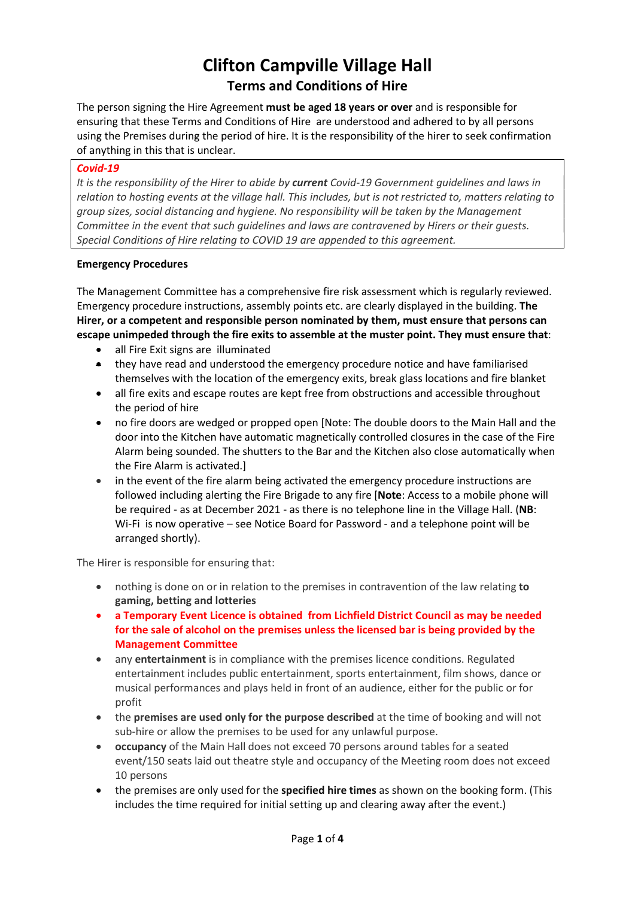# Clifton Campville Village Hall Terms and Conditions of Hire

The person signing the Hire Agreement must be aged 18 years or over and is responsible for ensuring that these Terms and Conditions of Hire are understood and adhered to by all persons using the Premises during the period of hire. It is the responsibility of the hirer to seek confirmation of anything in this that is unclear.

### Covid-19

It is the responsibility of the Hirer to abide by current Covid-19 Government quidelines and laws in relation to hosting events at the village hall. This includes, but is not restricted to, matters relating to group sizes, social distancing and hygiene. No responsibility will be taken by the Management Committee in the event that such guidelines and laws are contravened by Hirers or their guests. Special Conditions of Hire relating to COVID 19 are appended to this agreement.

### Emergency Procedures

The Management Committee has a comprehensive fire risk assessment which is regularly reviewed. Emergency procedure instructions, assembly points etc. are clearly displayed in the building. The Hirer, or a competent and responsible person nominated by them, must ensure that persons can escape unimpeded through the fire exits to assemble at the muster point. They must ensure that:

- all Fire Exit signs are illuminated
- they have read and understood the emergency procedure notice and have familiarised themselves with the location of the emergency exits, break glass locations and fire blanket
- all fire exits and escape routes are kept free from obstructions and accessible throughout the period of hire
- no fire doors are wedged or propped open [Note: The double doors to the Main Hall and the door into the Kitchen have automatic magnetically controlled closures in the case of the Fire Alarm being sounded. The shutters to the Bar and the Kitchen also close automatically when the Fire Alarm is activated.]
- in the event of the fire alarm being activated the emergency procedure instructions are followed including alerting the Fire Brigade to any fire [Note: Access to a mobile phone will be required - as at December 2021 - as there is no telephone line in the Village Hall. (NB: Wi-Fi is now operative – see Notice Board for Password - and a telephone point will be arranged shortly).

The Hirer is responsible for ensuring that:

- nothing is done on or in relation to the premises in contravention of the law relating to gaming, betting and lotteries
- a Temporary Event Licence is obtained from Lichfield District Council as may be needed for the sale of alcohol on the premises unless the licensed bar is being provided by the Management Committee
- any entertainment is in compliance with the premises licence conditions. Regulated entertainment includes public entertainment, sports entertainment, film shows, dance or musical performances and plays held in front of an audience, either for the public or for profit
- the premises are used only for the purpose described at the time of booking and will not sub-hire or allow the premises to be used for any unlawful purpose.
- occupancy of the Main Hall does not exceed 70 persons around tables for a seated event/150 seats laid out theatre style and occupancy of the Meeting room does not exceed 10 persons
- the premises are only used for the specified hire times as shown on the booking form. (This includes the time required for initial setting up and clearing away after the event.)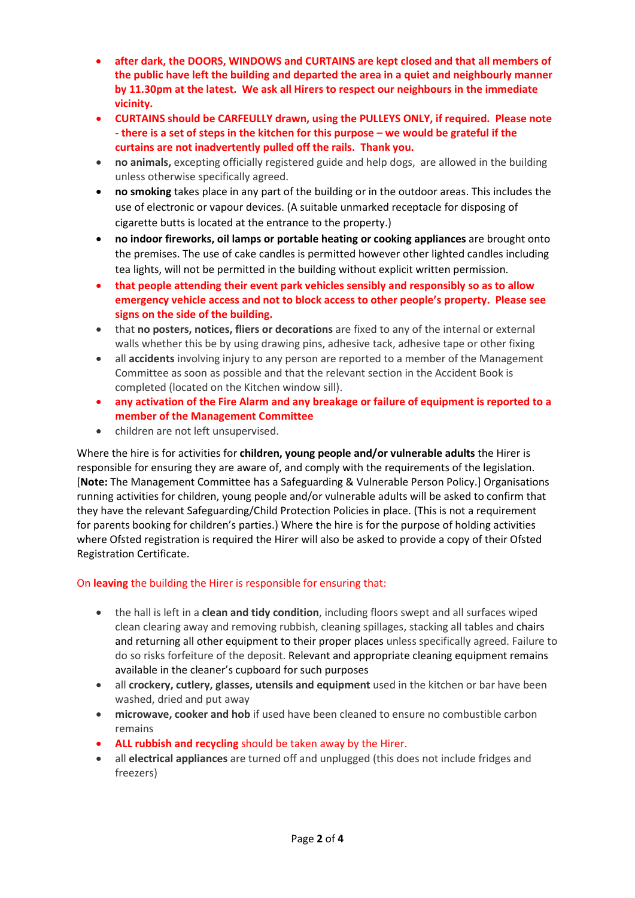- after dark, the DOORS, WINDOWS and CURTAINS are kept closed and that all members of the public have left the building and departed the area in a quiet and neighbourly manner by 11.30pm at the latest. We ask all Hirers to respect our neighbours in the immediate vicinity.
- CURTAINS should be CARFEULLY drawn, using the PULLEYS ONLY, if required. Please note - there is a set of steps in the kitchen for this purpose – we would be grateful if the curtains are not inadvertently pulled off the rails. Thank you.
- no animals, excepting officially registered guide and help dogs, are allowed in the building unless otherwise specifically agreed.
- no smoking takes place in any part of the building or in the outdoor areas. This includes the use of electronic or vapour devices. (A suitable unmarked receptacle for disposing of cigarette butts is located at the entrance to the property.)
- no indoor fireworks, oil lamps or portable heating or cooking appliances are brought onto the premises. The use of cake candles is permitted however other lighted candles including tea lights, will not be permitted in the building without explicit written permission.
- that people attending their event park vehicles sensibly and responsibly so as to allow emergency vehicle access and not to block access to other people's property. Please see signs on the side of the building.
- that no posters, notices, fliers or decorations are fixed to any of the internal or external walls whether this be by using drawing pins, adhesive tack, adhesive tape or other fixing
- all accidents involving injury to any person are reported to a member of the Management Committee as soon as possible and that the relevant section in the Accident Book is completed (located on the Kitchen window sill).
- any activation of the Fire Alarm and any breakage or failure of equipment is reported to a member of the Management Committee
- children are not left unsupervised.

Where the hire is for activities for children, young people and/or vulnerable adults the Hirer is responsible for ensuring they are aware of, and comply with the requirements of the legislation. [Note: The Management Committee has a Safeguarding & Vulnerable Person Policy.] Organisations running activities for children, young people and/or vulnerable adults will be asked to confirm that they have the relevant Safeguarding/Child Protection Policies in place. (This is not a requirement for parents booking for children's parties.) Where the hire is for the purpose of holding activities where Ofsted registration is required the Hirer will also be asked to provide a copy of their Ofsted Registration Certificate.

# On leaving the building the Hirer is responsible for ensuring that:

- the hall is left in a **clean and tidy condition**, including floors swept and all surfaces wiped clean clearing away and removing rubbish, cleaning spillages, stacking all tables and chairs and returning all other equipment to their proper places unless specifically agreed. Failure to do so risks forfeiture of the deposit. Relevant and appropriate cleaning equipment remains available in the cleaner's cupboard for such purposes
- all crockery, cutlery, glasses, utensils and equipment used in the kitchen or bar have been washed, dried and put away
- microwave, cooker and hob if used have been cleaned to ensure no combustible carbon remains
- ALL rubbish and recycling should be taken away by the Hirer.
- all electrical appliances are turned off and unplugged (this does not include fridges and freezers)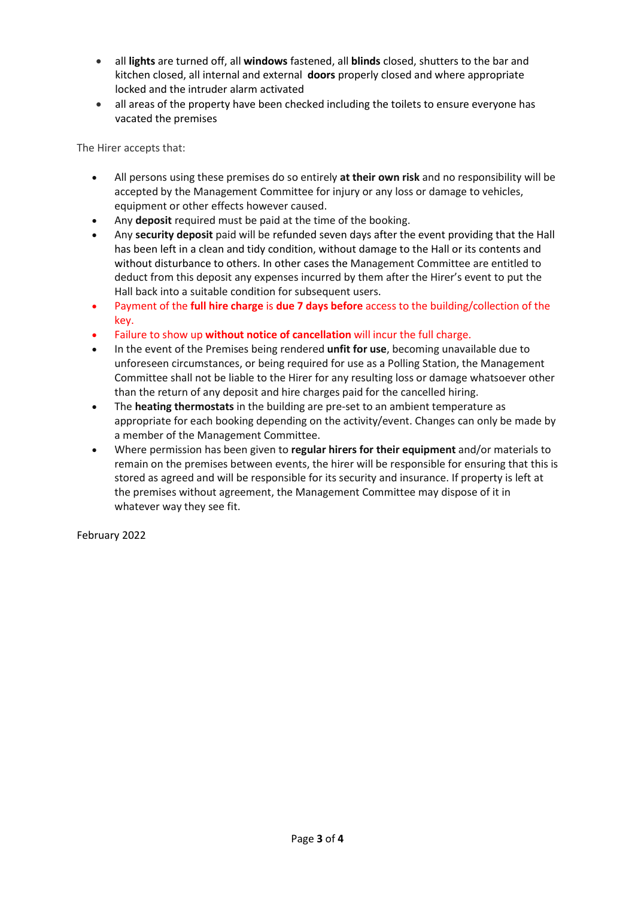- all lights are turned off, all windows fastened, all blinds closed, shutters to the bar and kitchen closed, all internal and external doors properly closed and where appropriate locked and the intruder alarm activated
- all areas of the property have been checked including the toilets to ensure everyone has vacated the premises

The Hirer accepts that:

- All persons using these premises do so entirely at their own risk and no responsibility will be accepted by the Management Committee for injury or any loss or damage to vehicles, equipment or other effects however caused.
- Any deposit required must be paid at the time of the booking.
- Any security deposit paid will be refunded seven days after the event providing that the Hall has been left in a clean and tidy condition, without damage to the Hall or its contents and without disturbance to others. In other cases the Management Committee are entitled to deduct from this deposit any expenses incurred by them after the Hirer's event to put the Hall back into a suitable condition for subsequent users.
- Payment of the full hire charge is due 7 days before access to the building/collection of the key.
- Failure to show up without notice of cancellation will incur the full charge.
- In the event of the Premises being rendered unfit for use, becoming unavailable due to unforeseen circumstances, or being required for use as a Polling Station, the Management Committee shall not be liable to the Hirer for any resulting loss or damage whatsoever other than the return of any deposit and hire charges paid for the cancelled hiring.
- The heating thermostats in the building are pre-set to an ambient temperature as appropriate for each booking depending on the activity/event. Changes can only be made by a member of the Management Committee.
- Where permission has been given to regular hirers for their equipment and/or materials to remain on the premises between events, the hirer will be responsible for ensuring that this is stored as agreed and will be responsible for its security and insurance. If property is left at the premises without agreement, the Management Committee may dispose of it in whatever way they see fit.

February 2022